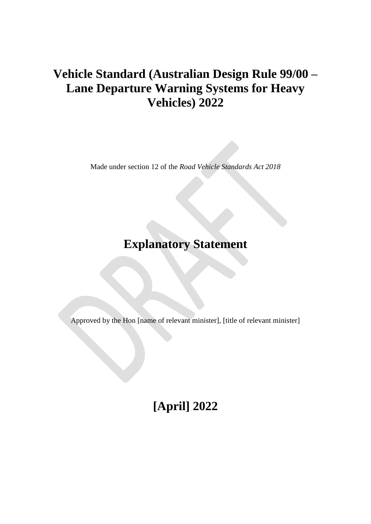# **Vehicle Standard (Australian Design Rule 99/00 – Lane Departure Warning Systems for Heavy Vehicles) 2022**

Made under section 12 of the *Road Vehicle Standards Act 2018*

# **Explanatory Statement**

Approved by the Hon [name of relevant minister], [title of relevant minister]

**[April] 2022**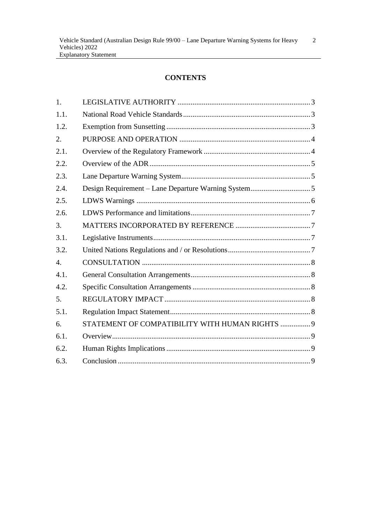# **CONTENTS**

| 1.               |                                                 |  |
|------------------|-------------------------------------------------|--|
| 1.1.             |                                                 |  |
| 1.2.             |                                                 |  |
| 2.               |                                                 |  |
| 2.1.             |                                                 |  |
| 2.2.             |                                                 |  |
| 2.3.             |                                                 |  |
| 2.4.             |                                                 |  |
| 2.5.             |                                                 |  |
| 2.6.             |                                                 |  |
| 3.               |                                                 |  |
| 3.1.             |                                                 |  |
| 3.2.             |                                                 |  |
| $\overline{4}$ . |                                                 |  |
| 4.1.             |                                                 |  |
| 4.2.             |                                                 |  |
| 5.               |                                                 |  |
| 5.1.             |                                                 |  |
| 6.               | STATEMENT OF COMPATIBILITY WITH HUMAN RIGHTS  9 |  |
| 6.1.             |                                                 |  |
| 6.2.             |                                                 |  |
| 6.3.             |                                                 |  |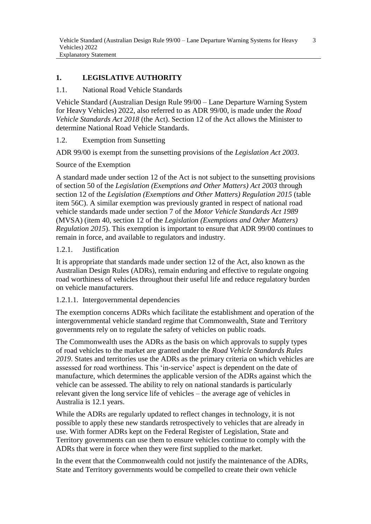# **1. LEGISLATIVE AUTHORITY**

### 1.1. National Road Vehicle Standards

Vehicle Standard (Australian Design Rule 99/00 – Lane Departure Warning System for Heavy Vehicles) 2022, also referred to as ADR 99/00, is made under the *Road Vehicle Standards Act 2018* (the Act). Section 12 of the Act allows the Minister to determine National Road Vehicle Standards.

1.2. Exemption from Sunsetting

ADR 99/00 is exempt from the sunsetting provisions of the *Legislation Act 2003*.

Source of the Exemption

A standard made under section 12 of the Act is not subject to the sunsetting provisions of section 50 of the *Legislation (Exemptions and Other Matters) Act 2003* through section 12 of the *Legislation (Exemptions and Other Matters) Regulation 2015* (table item 56C). A similar exemption was previously granted in respect of national road vehicle standards made under section 7 of the *Motor Vehicle Standards Act 1989* (MVSA) (item 40, section 12 of the *Legislation (Exemptions and Other Matters) Regulation 2015*). This exemption is important to ensure that ADR 99/00 continues to remain in force, and available to regulators and industry.

#### 1.2.1. Justification

It is appropriate that standards made under section 12 of the Act, also known as the Australian Design Rules (ADRs), remain enduring and effective to regulate ongoing road worthiness of vehicles throughout their useful life and reduce regulatory burden on vehicle manufacturers.

#### 1.2.1.1. Intergovernmental dependencies

The exemption concerns ADRs which facilitate the establishment and operation of the intergovernmental vehicle standard regime that Commonwealth, State and Territory governments rely on to regulate the safety of vehicles on public roads.

The Commonwealth uses the ADRs as the basis on which approvals to supply types of road vehicles to the market are granted under the *Road Vehicle Standards Rules 2019*. States and territories use the ADRs as the primary criteria on which vehicles are assessed for road worthiness. This 'in-service' aspect is dependent on the date of manufacture, which determines the applicable version of the ADRs against which the vehicle can be assessed. The ability to rely on national standards is particularly relevant given the long service life of vehicles – the average age of vehicles in Australia is 12.1 years.

While the ADRs are regularly updated to reflect changes in technology, it is not possible to apply these new standards retrospectively to vehicles that are already in use. With former ADRs kept on the Federal Register of Legislation, State and Territory governments can use them to ensure vehicles continue to comply with the ADRs that were in force when they were first supplied to the market.

In the event that the Commonwealth could not justify the maintenance of the ADRs, State and Territory governments would be compelled to create their own vehicle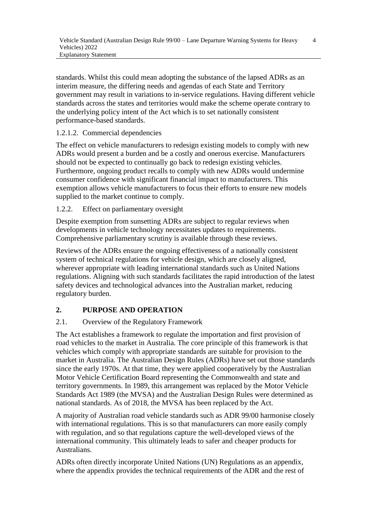standards. Whilst this could mean adopting the substance of the lapsed ADRs as an interim measure, the differing needs and agendas of each State and Territory government may result in variations to in-service regulations. Having different vehicle standards across the states and territories would make the scheme operate contrary to the underlying policy intent of the Act which is to set nationally consistent performance-based standards.

1.2.1.2. Commercial dependencies

The effect on vehicle manufacturers to redesign existing models to comply with new ADRs would present a burden and be a costly and onerous exercise. Manufacturers should not be expected to continually go back to redesign existing vehicles. Furthermore, ongoing product recalls to comply with new ADRs would undermine consumer confidence with significant financial impact to manufacturers. This exemption allows vehicle manufacturers to focus their efforts to ensure new models supplied to the market continue to comply.

1.2.2. Effect on parliamentary oversight

Despite exemption from sunsetting ADRs are subject to regular reviews when developments in vehicle technology necessitates updates to requirements. Comprehensive parliamentary scrutiny is available through these reviews.

Reviews of the ADRs ensure the ongoing effectiveness of a nationally consistent system of technical regulations for vehicle design, which are closely aligned, wherever appropriate with leading international standards such as United Nations regulations. Aligning with such standards facilitates the rapid introduction of the latest safety devices and technological advances into the Australian market, reducing regulatory burden.

# **2. PURPOSE AND OPERATION**

# 2.1. Overview of the Regulatory Framework

The Act establishes a framework to regulate the importation and first provision of road vehicles to the market in Australia. The core principle of this framework is that vehicles which comply with appropriate standards are suitable for provision to the market in Australia. The Australian Design Rules (ADRs) have set out those standards since the early 1970s. At that time, they were applied cooperatively by the Australian Motor Vehicle Certification Board representing the Commonwealth and state and territory governments. In 1989, this arrangement was replaced by the Motor Vehicle Standards Act 1989 (the MVSA) and the Australian Design Rules were determined as national standards. As of 2018, the MVSA has been replaced by the Act.

A majority of Australian road vehicle standards such as ADR 99/00 harmonise closely with international regulations. This is so that manufacturers can more easily comply with regulation, and so that regulations capture the well-developed views of the international community. This ultimately leads to safer and cheaper products for Australians.

ADRs often directly incorporate United Nations (UN) Regulations as an appendix, where the appendix provides the technical requirements of the ADR and the rest of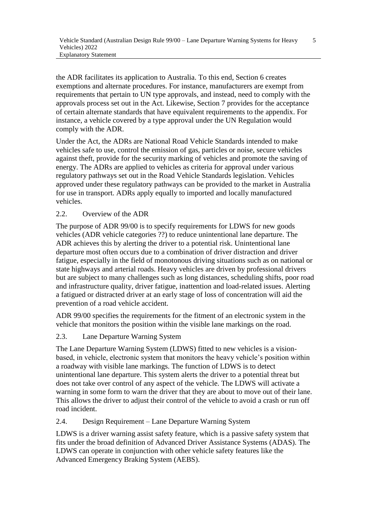the ADR facilitates its application to Australia. To this end, Section 6 creates exemptions and alternate procedures. For instance, manufacturers are exempt from requirements that pertain to UN type approvals, and instead, need to comply with the approvals process set out in the Act. Likewise, Section 7 provides for the acceptance of certain alternate standards that have equivalent requirements to the appendix. For instance, a vehicle covered by a type approval under the UN Regulation would comply with the ADR.

Under the Act, the ADRs are National Road Vehicle Standards intended to make vehicles safe to use, control the emission of gas, particles or noise, secure vehicles against theft, provide for the security marking of vehicles and promote the saving of energy. The ADRs are applied to vehicles as criteria for approval under various regulatory pathways set out in the Road Vehicle Standards legislation. Vehicles approved under these regulatory pathways can be provided to the market in Australia for use in transport. ADRs apply equally to imported and locally manufactured vehicles.

## 2.2. Overview of the ADR

The purpose of ADR 99/00 is to specify requirements for LDWS for new goods vehicles (ADR vehicle categories ??) to reduce unintentional lane departure. The ADR achieves this by alerting the driver to a potential risk. Unintentional lane departure most often occurs due to a combination of driver distraction and driver fatigue, especially in the field of monotonous driving situations such as on national or state highways and arterial roads. Heavy vehicles are driven by professional drivers but are subject to many challenges such as long distances, scheduling shifts, poor road and infrastructure quality, driver fatigue, inattention and load-related issues. Alerting a fatigued or distracted driver at an early stage of loss of concentration will aid the prevention of a road vehicle accident.

ADR 99/00 specifies the requirements for the fitment of an electronic system in the vehicle that monitors the position within the visible lane markings on the road.

## 2.3. Lane Departure Warning System

The Lane Departure Warning System (LDWS) fitted to new vehicles is a visionbased, in vehicle, electronic system that monitors the heavy vehicle's position within a roadway with visible lane markings. The function of LDWS is to detect unintentional lane departure. This system alerts the driver to a potential threat but does not take over control of any aspect of the vehicle. The LDWS will activate a warning in some form to warn the driver that they are about to move out of their lane. This allows the driver to adjust their control of the vehicle to avoid a crash or run off road incident.

2.4. Design Requirement – Lane Departure Warning System

LDWS is a driver warning assist safety feature, which is a passive safety system that fits under the broad definition of Advanced Driver Assistance Systems (ADAS). The LDWS can operate in conjunction with other vehicle safety features like the Advanced Emergency Braking System (AEBS).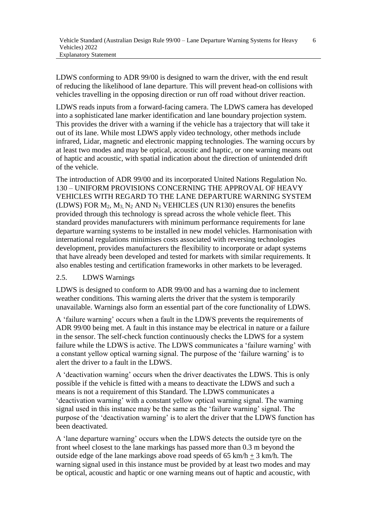LDWS conforming to ADR 99/00 is designed to warn the driver, with the end result of reducing the likelihood of lane departure. This will prevent head-on collisions with vehicles travelling in the opposing direction or run off road without driver reaction.

LDWS reads inputs from a forward-facing camera. The LDWS camera has developed into a sophisticated lane marker identification and lane boundary projection system. This provides the driver with a warning if the vehicle has a trajectory that will take it out of its lane. While most LDWS apply video technology, other methods include infrared, Lidar, magnetic and electronic mapping technologies. The warning occurs by at least two modes and may be optical, acoustic and haptic, or one warning means out of haptic and acoustic, with spatial indication about the direction of unintended drift of the vehicle.

The introduction of ADR 99/00 and its incorporated United Nations Regulation No. 130 – UNIFORM PROVISIONS CONCERNING THE APPROVAL OF HEAVY VEHICLES WITH REGARD TO THE LANE DEPARTURE WARNING SYSTEM (LDWS) FOR  $M_2$ ,  $M_3$ ,  $N_2$  AND  $N_3$  VEHICLES (UN R130) ensures the benefits provided through this technology is spread across the whole vehicle fleet. This standard provides manufacturers with minimum performance requirements for lane departure warning systems to be installed in new model vehicles. Harmonisation with international regulations minimises costs associated with reversing technologies development, provides manufacturers the flexibility to incorporate or adapt systems that have already been developed and tested for markets with similar requirements. It also enables testing and certification frameworks in other markets to be leveraged.

#### 2.5. LDWS Warnings

LDWS is designed to conform to ADR 99/00 and has a warning due to inclement weather conditions. This warning alerts the driver that the system is temporarily unavailable. Warnings also form an essential part of the core functionality of LDWS.

A 'failure warning' occurs when a fault in the LDWS prevents the requirements of ADR 99/00 being met. A fault in this instance may be electrical in nature or a failure in the sensor. The self-check function continuously checks the LDWS for a system failure while the LDWS is active. The LDWS communicates a 'failure warning' with a constant yellow optical warning signal. The purpose of the 'failure warning' is to alert the driver to a fault in the LDWS.

A 'deactivation warning' occurs when the driver deactivates the LDWS. This is only possible if the vehicle is fitted with a means to deactivate the LDWS and such a means is not a requirement of this Standard. The LDWS communicates a 'deactivation warning' with a constant yellow optical warning signal. The warning signal used in this instance may be the same as the 'failure warning' signal. The purpose of the 'deactivation warning' is to alert the driver that the LDWS function has been deactivated.

A 'lane departure warning' occurs when the LDWS detects the outside tyre on the front wheel closest to the lane markings has passed more than 0.3 m beyond the outside edge of the lane markings above road speeds of  $65 \text{ km/h} + 3 \text{ km/h}$ . The warning signal used in this instance must be provided by at least two modes and may be optical, acoustic and haptic or one warning means out of haptic and acoustic, with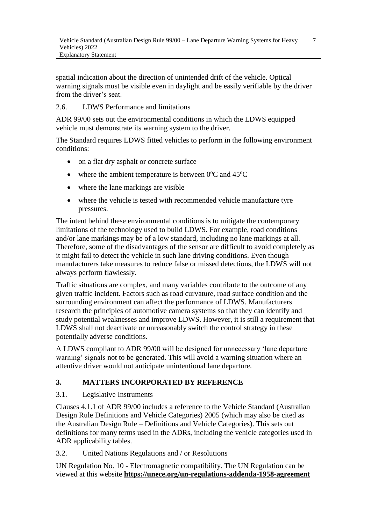spatial indication about the direction of unintended drift of the vehicle. Optical warning signals must be visible even in daylight and be easily verifiable by the driver from the driver's seat.

## 2.6. LDWS Performance and limitations

ADR 99/00 sets out the environmental conditions in which the LDWS equipped vehicle must demonstrate its warning system to the driver.

The Standard requires LDWS fitted vehicles to perform in the following environment conditions:

- on a flat dry asphalt or concrete surface
- where the ambient temperature is between  $0^{\circ}$ C and  $45^{\circ}$ C
- where the lane markings are visible
- where the vehicle is tested with recommended vehicle manufacture tyre pressures.

The intent behind these environmental conditions is to mitigate the contemporary limitations of the technology used to build LDWS. For example, road conditions and/or lane markings may be of a low standard, including no lane markings at all. Therefore, some of the disadvantages of the sensor are difficult to avoid completely as it might fail to detect the vehicle in such lane driving conditions. Even though manufacturers take measures to reduce false or missed detections, the LDWS will not always perform flawlessly.

Traffic situations are complex, and many variables contribute to the outcome of any given traffic incident. Factors such as road curvature, road surface condition and the surrounding environment can affect the performance of LDWS. Manufacturers research the principles of automotive camera systems so that they can identify and study potential weaknesses and improve LDWS. However, it is still a requirement that LDWS shall not deactivate or unreasonably switch the control strategy in these potentially adverse conditions.

A LDWS compliant to ADR 99/00 will be designed for unnecessary 'lane departure warning' signals not to be generated. This will avoid a warning situation where an attentive driver would not anticipate unintentional lane departure.

# **3. MATTERS INCORPORATED BY REFERENCE**

## 3.1. Legislative Instruments

Clauses 4.1.1 of ADR 99/00 includes a reference to the Vehicle Standard (Australian Design Rule Definitions and Vehicle Categories) 2005 (which may also be cited as the Australian Design Rule – Definitions and Vehicle Categories). This sets out definitions for many terms used in the ADRs, including the vehicle categories used in ADR applicability tables.

3.2. United Nations Regulations and / or Resolutions

UN Regulation No. 10 - Electromagnetic compatibility. The UN Regulation can be viewed at this website **<https://unece.org/un-regulations-addenda-1958-agreement>**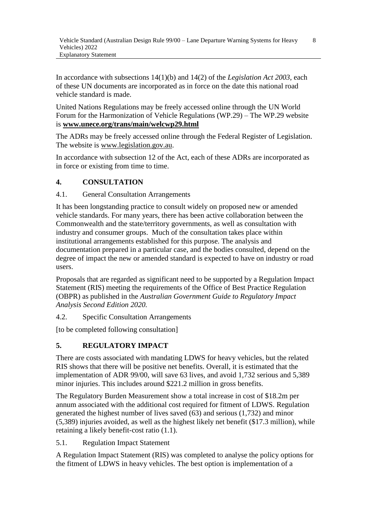8

In accordance with subsections 14(1)(b) and 14(2) of the *Legislation Act 2003*, each of these UN documents are incorporated as in force on the date this national road vehicle standard is made.

United Nations Regulations may be freely accessed online through the UN World Forum for the Harmonization of Vehicle Regulations (WP.29) – The WP.29 website is **[www.unece.org/trans/main/welcwp29.html](http://www.unece.org/trans/main/welcwp29.html)**

The ADRs may be freely accessed online through the Federal Register of Legislation. The website is www.legislation.gov.au.

In accordance with subsection 12 of the Act, each of these ADRs are incorporated as in force or existing from time to time.

# **4. CONSULTATION**

4.1. General Consultation Arrangements

It has been longstanding practice to consult widely on proposed new or amended vehicle standards. For many years, there has been active collaboration between the Commonwealth and the state/territory governments, as well as consultation with industry and consumer groups. Much of the consultation takes place within institutional arrangements established for this purpose. The analysis and documentation prepared in a particular case, and the bodies consulted, depend on the degree of impact the new or amended standard is expected to have on industry or road users.

Proposals that are regarded as significant need to be supported by a Regulation Impact Statement (RIS) meeting the requirements of the Office of Best Practice Regulation (OBPR) as published in the *Australian Government Guide to Regulatory Impact Analysis Second Edition 2020.*

4.2. Specific Consultation Arrangements

[to be completed following consultation]

# **5. REGULATORY IMPACT**

There are costs associated with mandating LDWS for heavy vehicles, but the related RIS shows that there will be positive net benefits. Overall, it is estimated that the implementation of ADR 99/00, will save 63 lives, and avoid 1,732 serious and 5,389 minor injuries. This includes around \$221.2 million in gross benefits.

The Regulatory Burden Measurement show a total increase in cost of \$18.2m per annum associated with the additional cost required for fitment of LDWS. Regulation generated the highest number of lives saved (63) and serious (1,732) and minor (5,389) injuries avoided, as well as the highest likely net benefit (\$17.3 million), while retaining a likely benefit-cost ratio (1.1).

5.1. Regulation Impact Statement

A Regulation Impact Statement (RIS) was completed to analyse the policy options for the fitment of LDWS in heavy vehicles. The best option is implementation of a